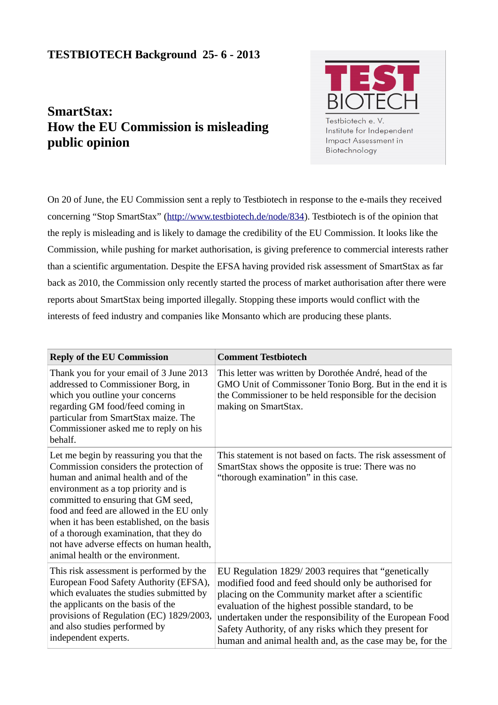## **TESTBIOTECH Background 25- 6 - 2013**

## **SmartStax: How the EU Commission is misleading public opinion**



On 20 of June, the EU Commission sent a reply to Testbiotech in response to the e-mails they received concerning "Stop SmartStax" (http://www.testbiotech.de/node/834). Testbiotech is of the opinion that the reply is misleading and is likely to damage the credibility of the EU Commission. It looks like the Commission, while pushing for market authorisation, is giving preference to commercial interests rather than a scientific argumentation. Despite the EFSA having provided risk assessment of SmartStax as far back as 2010, the Commission only recently started the process of market authorisation after there were reports about SmartStax being imported illegally. Stopping these imports would conflict with the interests of feed industry and companies like Monsanto which are producing these plants.

| <b>Reply of the EU Commission</b>                                                                                                                                                                                                                                                                                                                                                                                             | <b>Comment Testbiotech</b>                                                                                                                                                                                                                                                                                                                                                                              |
|-------------------------------------------------------------------------------------------------------------------------------------------------------------------------------------------------------------------------------------------------------------------------------------------------------------------------------------------------------------------------------------------------------------------------------|---------------------------------------------------------------------------------------------------------------------------------------------------------------------------------------------------------------------------------------------------------------------------------------------------------------------------------------------------------------------------------------------------------|
| Thank you for your email of 3 June 2013<br>addressed to Commissioner Borg, in<br>which you outline your concerns<br>regarding GM food/feed coming in<br>particular from SmartStax maize. The<br>Commissioner asked me to reply on his<br>behalf.                                                                                                                                                                              | This letter was written by Dorothée André, head of the<br>GMO Unit of Commissoner Tonio Borg. But in the end it is<br>the Commissioner to be held responsible for the decision<br>making on SmartStax.                                                                                                                                                                                                  |
| Let me begin by reassuring you that the<br>Commission considers the protection of<br>human and animal health and of the<br>environment as a top priority and is<br>committed to ensuring that GM seed,<br>food and feed are allowed in the EU only<br>when it has been established, on the basis<br>of a thorough examination, that they do<br>not have adverse effects on human health,<br>animal health or the environment. | This statement is not based on facts. The risk assessment of<br>SmartStax shows the opposite is true: There was no<br>"thorough examination" in this case.                                                                                                                                                                                                                                              |
| This risk assessment is performed by the<br>European Food Safety Authority (EFSA),<br>which evaluates the studies submitted by<br>the applicants on the basis of the<br>provisions of Regulation (EC) 1829/2003,<br>and also studies performed by<br>independent experts.                                                                                                                                                     | EU Regulation 1829/2003 requires that "genetically<br>modified food and feed should only be authorised for<br>placing on the Community market after a scientific<br>evaluation of the highest possible standard, to be<br>undertaken under the responsibility of the European Food<br>Safety Authority, of any risks which they present for<br>human and animal health and, as the case may be, for the |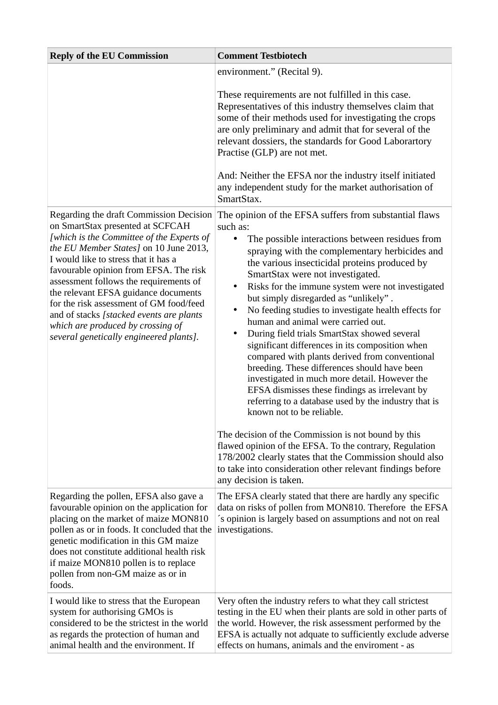| <b>Reply of the EU Commission</b>                                                                                                                                                                                                                                                                                                                                                                                                                                                                             | <b>Comment Testbiotech</b>                                                                                                                                                                                                                                                                                                                                                                                                                                                                                                                                                                                                                                                                                                                                                                                                                                                                        |
|---------------------------------------------------------------------------------------------------------------------------------------------------------------------------------------------------------------------------------------------------------------------------------------------------------------------------------------------------------------------------------------------------------------------------------------------------------------------------------------------------------------|---------------------------------------------------------------------------------------------------------------------------------------------------------------------------------------------------------------------------------------------------------------------------------------------------------------------------------------------------------------------------------------------------------------------------------------------------------------------------------------------------------------------------------------------------------------------------------------------------------------------------------------------------------------------------------------------------------------------------------------------------------------------------------------------------------------------------------------------------------------------------------------------------|
|                                                                                                                                                                                                                                                                                                                                                                                                                                                                                                               | environment." (Recital 9).                                                                                                                                                                                                                                                                                                                                                                                                                                                                                                                                                                                                                                                                                                                                                                                                                                                                        |
|                                                                                                                                                                                                                                                                                                                                                                                                                                                                                                               | These requirements are not fulfilled in this case.<br>Representatives of this industry themselves claim that<br>some of their methods used for investigating the crops<br>are only preliminary and admit that for several of the<br>relevant dossiers, the standards for Good Laborartory<br>Practise (GLP) are not met.<br>And: Neither the EFSA nor the industry itself initiated<br>any independent study for the market authorisation of<br>SmartStax.                                                                                                                                                                                                                                                                                                                                                                                                                                        |
| Regarding the draft Commission Decision<br>on SmartStax presented at SCFCAH<br>[which is the Committee of the Experts of<br>the EU Member States] on 10 June 2013,<br>I would like to stress that it has a<br>favourable opinion from EFSA. The risk<br>assessment follows the requirements of<br>the relevant EFSA guidance documents<br>for the risk assessment of GM food/feed<br>and of stacks [stacked events are plants<br>which are produced by crossing of<br>several genetically engineered plants]. | The opinion of the EFSA suffers from substantial flaws<br>such as:<br>The possible interactions between residues from<br>$\bullet$<br>spraying with the complementary herbicides and<br>the various insecticidal proteins produced by<br>SmartStax were not investigated.<br>Risks for the immune system were not investigated<br>$\bullet$<br>but simply disregarded as "unlikely".<br>No feeding studies to investigate health effects for<br>$\bullet$<br>human and animal were carried out.<br>During field trials SmartStax showed several<br>٠<br>significant differences in its composition when<br>compared with plants derived from conventional<br>breeding. These differences should have been<br>investigated in much more detail. However the<br>EFSA dismisses these findings as irrelevant by<br>referring to a database used by the industry that is<br>known not to be reliable. |
|                                                                                                                                                                                                                                                                                                                                                                                                                                                                                                               | The decision of the Commission is not bound by this<br>flawed opinion of the EFSA. To the contrary, Regulation<br>178/2002 clearly states that the Commission should also<br>to take into consideration other relevant findings before<br>any decision is taken.                                                                                                                                                                                                                                                                                                                                                                                                                                                                                                                                                                                                                                  |
| Regarding the pollen, EFSA also gave a<br>favourable opinion on the application for<br>placing on the market of maize MON810<br>pollen as or in foods. It concluded that the<br>genetic modification in this GM maize<br>does not constitute additional health risk<br>if maize MON810 pollen is to replace<br>pollen from non-GM maize as or in<br>foods.                                                                                                                                                    | The EFSA clearly stated that there are hardly any specific<br>data on risks of pollen from MON810. Therefore the EFSA<br>'s opinion is largely based on assumptions and not on real<br>investigations.                                                                                                                                                                                                                                                                                                                                                                                                                                                                                                                                                                                                                                                                                            |
| I would like to stress that the European<br>system for authorising GMOs is<br>considered to be the strictest in the world<br>as regards the protection of human and<br>animal health and the environment. If                                                                                                                                                                                                                                                                                                  | Very often the industry refers to what they call strictest<br>testing in the EU when their plants are sold in other parts of<br>the world. However, the risk assessment performed by the<br>EFSA is actually not adquate to sufficiently exclude adverse<br>effects on humans, animals and the enviroment - as                                                                                                                                                                                                                                                                                                                                                                                                                                                                                                                                                                                    |